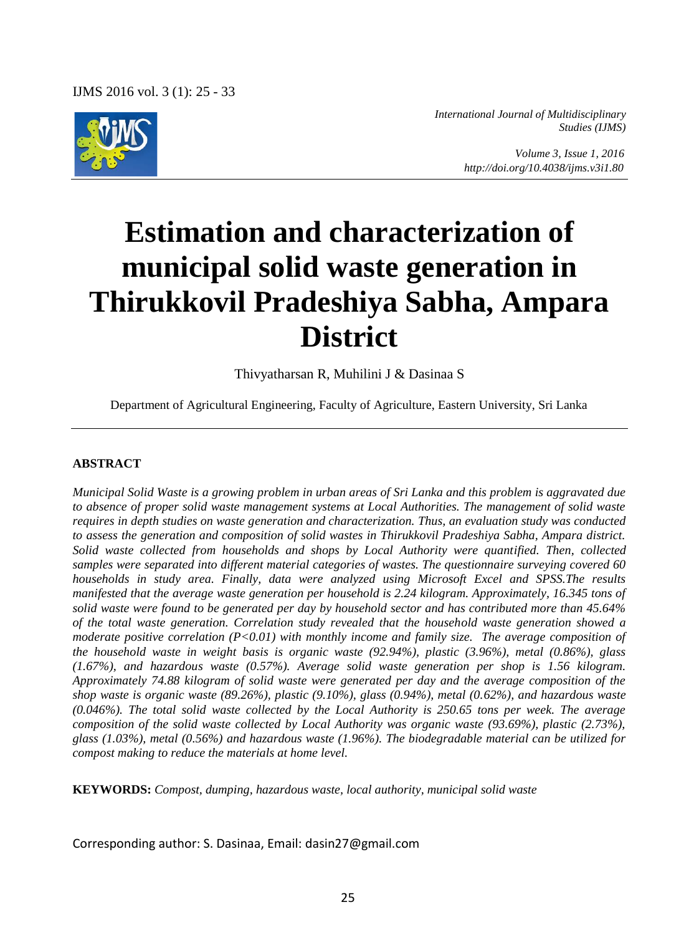IJMS 2016 vol. 3 (1): 25 - 33



*International Journal of Multidisciplinary Studies (IJMS)* 

> *Volume 3, Issue 1, 2016 http://doi.org/10.4038/ijms.v3i1.80*

# **Estimation and characterization of municipal solid waste generation in Thirukkovil Pradeshiya Sabha, Ampara District**

Thivyatharsan R, Muhilini J & Dasinaa S

Department of Agricultural Engineering, Faculty of Agriculture, Eastern University, Sri Lanka

#### **ABSTRACT**

*Municipal Solid Waste is a growing problem in urban areas of Sri Lanka and this problem is aggravated due to absence of proper solid waste management systems at Local Authorities. The management of solid waste requires in depth studies on waste generation and characterization. Thus, an evaluation study was conducted to assess the generation and composition of solid wastes in Thirukkovil Pradeshiya Sabha, Ampara district.*  Solid waste collected from households and shops by Local Authority were quantified. Then, collected *samples were separated into different material categories of wastes. The questionnaire surveying covered 60 households in study area. Finally, data were analyzed using Microsoft Excel and SPSS.The results manifested that the average waste generation per household is 2.24 kilogram. Approximately, 16.345 tons of solid waste were found to be generated per day by household sector and has contributed more than 45.64% of the total waste generation. Correlation study revealed that the household waste generation showed a moderate positive correlation (P<0.01) with monthly income and family size. The average composition of the household waste in weight basis is organic waste (92.94%), plastic (3.96%), metal (0.86%), glass (1.67%), and hazardous waste (0.57%). Average solid waste generation per shop is 1.56 kilogram. Approximately 74.88 kilogram of solid waste were generated per day and the average composition of the shop waste is organic waste (89.26%), plastic (9.10%), glass (0.94%), metal (0.62%), and hazardous waste (0.046%). The total solid waste collected by the Local Authority is 250.65 tons per week. The average composition of the solid waste collected by Local Authority was organic waste (93.69%), plastic (2.73%), glass (1.03%), metal (0.56%) and hazardous waste (1.96%). The biodegradable material can be utilized for compost making to reduce the materials at home level.*

**KEYWORDS:** *Compost, dumping, hazardous waste, local authority, municipal solid waste* 

Corresponding author: S. Dasinaa, Email: dasin27@gmail.com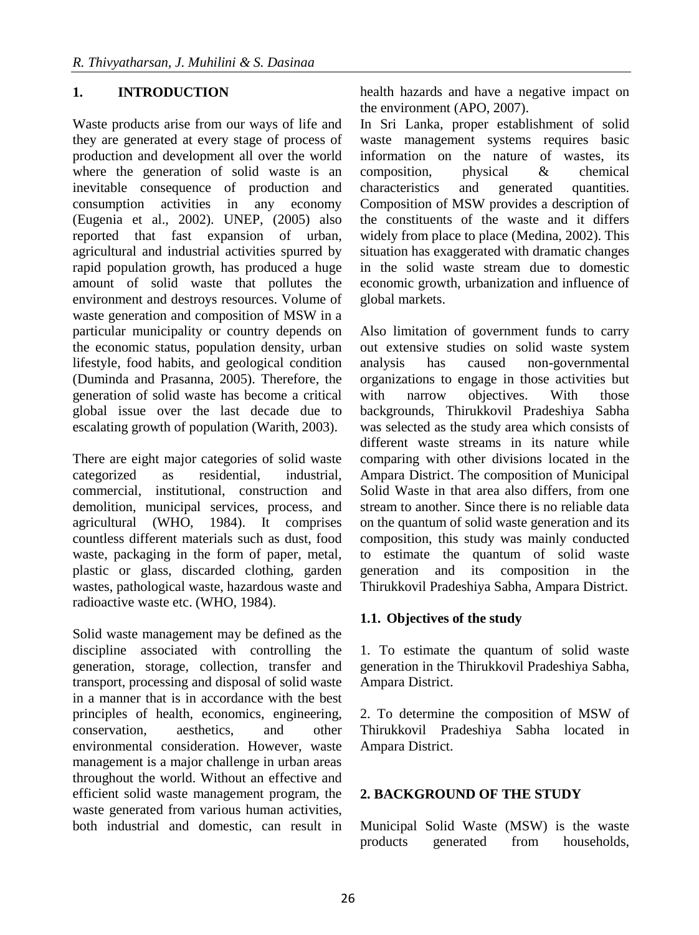# **1. INTRODUCTION**

Waste products arise from our ways of life and they are generated at every stage of process of production and development all over the world where the generation of solid waste is an inevitable consequence of production and consumption activities in any economy (Eugenia et al., 2002). UNEP, (2005) also reported that fast expansion of urban, agricultural and industrial activities spurred by rapid population growth, has produced a huge amount of solid waste that pollutes the environment and destroys resources. Volume of waste generation and composition of MSW in a particular municipality or country depends on the economic status, population density, urban lifestyle, food habits, and geological condition (Duminda and Prasanna, 2005). Therefore, the generation of solid waste has become a critical global issue over the last decade due to escalating growth of population (Warith, 2003).

There are eight major categories of solid waste categorized as residential, industrial, commercial, institutional, construction and demolition, municipal services, process, and agricultural (WHO, 1984). It comprises countless different materials such as dust, food waste, packaging in the form of paper, metal, plastic or glass, discarded clothing, garden wastes, pathological waste, hazardous waste and radioactive waste etc. (WHO, 1984).

Solid waste management may be defined as the discipline associated with controlling the generation, storage, collection, transfer and transport, processing and disposal of solid waste in a manner that is in accordance with the best principles of health, economics, engineering, conservation, aesthetics, and other environmental consideration. However, waste management is a major challenge in urban areas throughout the world. Without an effective and efficient solid waste management program, the waste generated from various human activities, both industrial and domestic, can result in health hazards and have a negative impact on the environment (APO, 2007).

In Sri Lanka, proper establishment of solid waste management systems requires basic information on the nature of wastes, its composition, physical & chemical characteristics and generated quantities. Composition of MSW provides a description of the constituents of the waste and it differs widely from place to place (Medina, 2002). This situation has exaggerated with dramatic changes in the solid waste stream due to domestic economic growth, urbanization and influence of global markets.

Also limitation of government funds to carry out extensive studies on solid waste system analysis has caused non-governmental organizations to engage in those activities but with narrow objectives. With those backgrounds, Thirukkovil Pradeshiya Sabha was selected as the study area which consists of different waste streams in its nature while comparing with other divisions located in the Ampara District. The composition of Municipal Solid Waste in that area also differs, from one stream to another. Since there is no reliable data on the quantum of solid waste generation and its composition, this study was mainly conducted to estimate the quantum of solid waste generation and its composition in the Thirukkovil Pradeshiya Sabha, Ampara District.

## **1.1. Objectives of the study**

1. To estimate the quantum of solid waste generation in the Thirukkovil Pradeshiya Sabha, Ampara District.

2. To determine the composition of MSW of Thirukkovil Pradeshiya Sabha located in Ampara District.

## **2. BACKGROUND OF THE STUDY**

Municipal Solid Waste (MSW) is the waste products generated from households,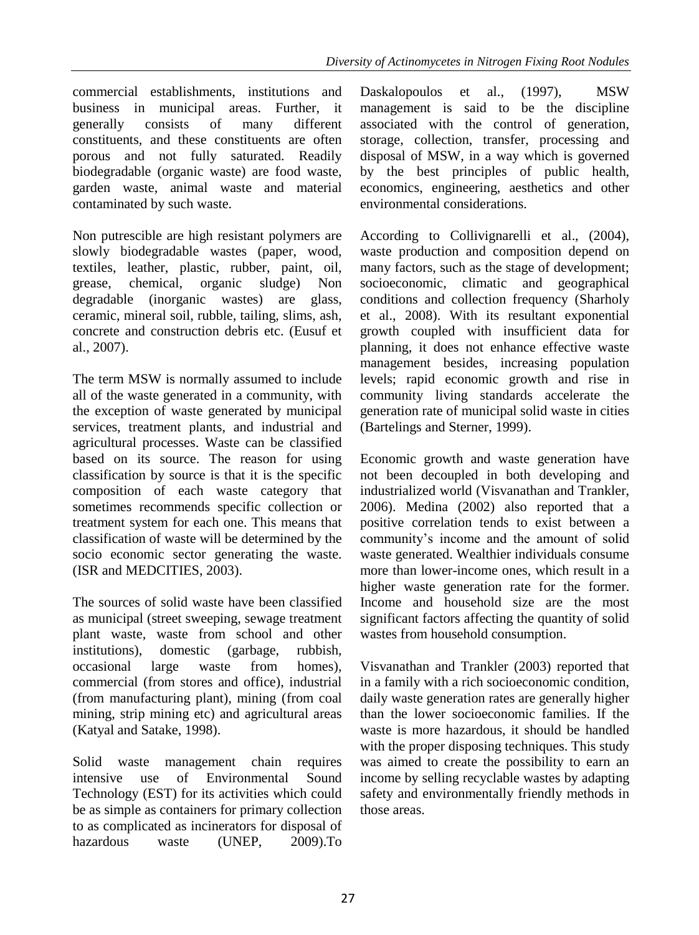commercial establishments, institutions and business in municipal areas. Further, it generally consists of many different constituents, and these constituents are often porous and not fully saturated. Readily biodegradable (organic waste) are food waste, garden waste, animal waste and material contaminated by such waste.

Non putrescible are high resistant polymers are slowly biodegradable wastes (paper, wood, textiles, leather, plastic, rubber, paint, oil, grease, chemical, organic sludge) Non degradable (inorganic wastes) are glass, ceramic, mineral soil, rubble, tailing, slims, ash, concrete and construction debris etc. (Eusuf et al., 2007).

The term MSW is normally assumed to include all of the waste generated in a community, with the exception of waste generated by municipal services, treatment plants, and industrial and agricultural processes. Waste can be classified based on its source. The reason for using classification by source is that it is the specific composition of each waste category that sometimes recommends specific collection or treatment system for each one. This means that classification of waste will be determined by the socio economic sector generating the waste. (ISR and MEDCITIES, 2003).

The sources of solid waste have been classified as municipal (street sweeping, sewage treatment plant waste, waste from school and other institutions), domestic (garbage, rubbish, occasional large waste from homes), commercial (from stores and office), industrial (from manufacturing plant), mining (from coal mining, strip mining etc) and agricultural areas (Katyal and Satake, 1998).

Solid waste management chain requires intensive use of Environmental Sound Technology (EST) for its activities which could be as simple as containers for primary collection to as complicated as incinerators for disposal of hazardous waste (UNEP, 2009).To Daskalopoulos et al., (1997), MSW management is said to be the discipline associated with the control of generation, storage, collection, transfer, processing and disposal of MSW, in a way which is governed by the best principles of public health, economics, engineering, aesthetics and other environmental considerations.

According to Collivignarelli et al., (2004), waste production and composition depend on many factors, such as the stage of development; socioeconomic, climatic and geographical conditions and collection frequency (Sharholy et al., 2008). With its resultant exponential growth coupled with insufficient data for planning, it does not enhance effective waste management besides, increasing population levels; rapid economic growth and rise in community living standards accelerate the generation rate of municipal solid waste in cities (Bartelings and Sterner, 1999).

Economic growth and waste generation have not been decoupled in both developing and industrialized world (Visvanathan and Trankler, 2006). Medina (2002) also reported that a positive correlation tends to exist between a community's income and the amount of solid waste generated. Wealthier individuals consume more than lower-income ones, which result in a higher waste generation rate for the former. Income and household size are the most significant factors affecting the quantity of solid wastes from household consumption.

Visvanathan and Trankler (2003) reported that in a family with a rich socioeconomic condition, daily waste generation rates are generally higher than the lower socioeconomic families. If the waste is more hazardous, it should be handled with the proper disposing techniques. This study was aimed to create the possibility to earn an income by selling recyclable wastes by adapting safety and environmentally friendly methods in those areas.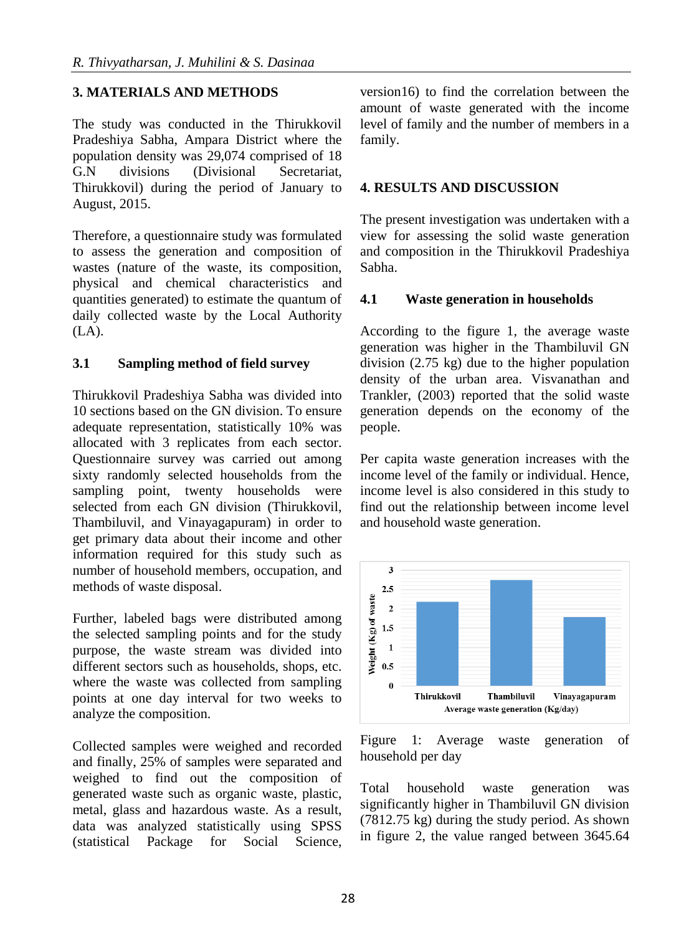## **3. MATERIALS AND METHODS**

The study was conducted in the Thirukkovil Pradeshiya Sabha, Ampara District where the population density was 29,074 comprised of 18 G.N divisions (Divisional Secretariat, Thirukkovil) during the period of January to August, 2015.

Therefore, a questionnaire study was formulated to assess the generation and composition of wastes (nature of the waste, its composition, physical and chemical characteristics and quantities generated) to estimate the quantum of daily collected waste by the Local Authority (LA).

## **3.1 Sampling method of field survey**

Thirukkovil Pradeshiya Sabha was divided into 10 sections based on the GN division. To ensure adequate representation, statistically 10% was allocated with 3 replicates from each sector. Questionnaire survey was carried out among sixty randomly selected households from the sampling point, twenty households were selected from each GN division (Thirukkovil, Thambiluvil, and Vinayagapuram) in order to get primary data about their income and other information required for this study such as number of household members, occupation, and methods of waste disposal.

Further, labeled bags were distributed among the selected sampling points and for the study purpose, the waste stream was divided into different sectors such as households, shops, etc. where the waste was collected from sampling points at one day interval for two weeks to analyze the composition.

Collected samples were weighed and recorded and finally, 25% of samples were separated and weighed to find out the composition of generated waste such as organic waste, plastic, metal, glass and hazardous waste. As a result, data was analyzed statistically using SPSS (statistical Package for Social Science,

version16) to find the correlation between the amount of waste generated with the income level of family and the number of members in a family.

## **4. RESULTS AND DISCUSSION**

The present investigation was undertaken with a view for assessing the solid waste generation and composition in the Thirukkovil Pradeshiya Sabha.

## **4.1 Waste generation in households**

According to the figure 1, the average waste generation was higher in the Thambiluvil GN division (2.75 kg) due to the higher population density of the urban area. Visvanathan and Trankler, (2003) reported that the solid waste generation depends on the economy of the people.

Per capita waste generation increases with the income level of the family or individual. Hence, income level is also considered in this study to find out the relationship between income level and household waste generation.



Figure 1: Average waste generation of household per day

Total household waste generation was significantly higher in Thambiluvil GN division (7812.75 kg) during the study period. As shown in figure 2, the value ranged between 3645.64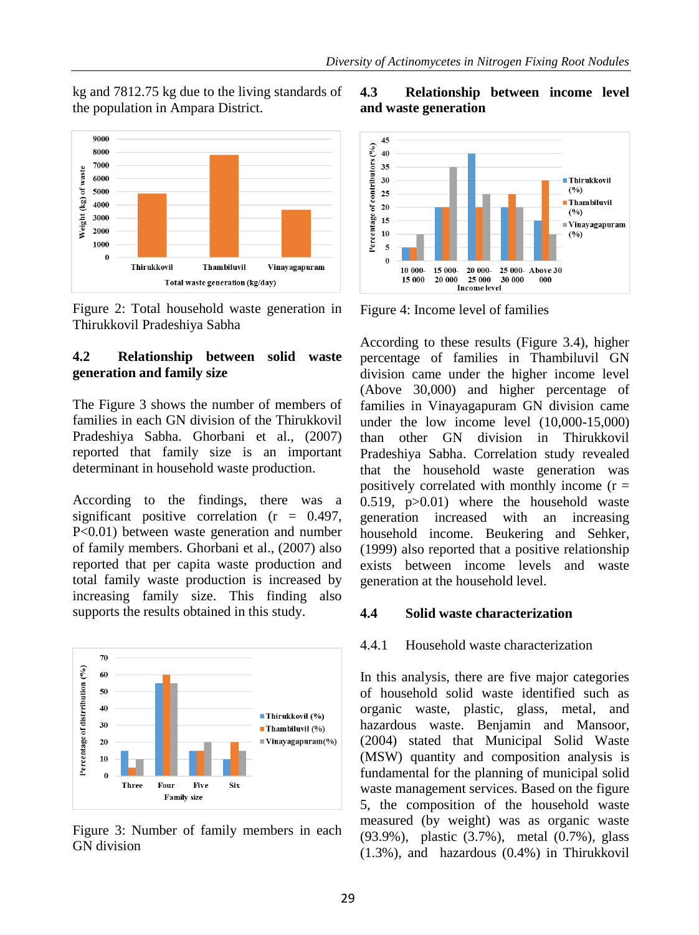kg and 7812.75 kg due to the living standards of the population in Ampara District.



Figure 2: Total household waste generation in Thirukkovil Pradeshiya Sabha

## **4.2 Relationship between solid waste generation and family size**

The Figure 3 shows the number of members of families in each GN division of the Thirukkovil Pradeshiya Sabha. Ghorbani et al., (2007) reported that family size is an important determinant in household waste production.

According to the findings, there was a significant positive correlation  $(r = 0.497)$ , P<0.01) between waste generation and number of family members. Ghorbani et al., (2007) also reported that per capita waste production and total family waste production is increased by increasing family size. This finding also supports the results obtained in this study.



Figure 3: Number of family members in each GN division

## **4.3 Relationship between income level and waste generation**



Figure 4: Income level of families

According to these results (Figure 3.4), higher percentage of families in Thambiluvil GN division came under the higher income level (Above 30,000) and higher percentage of families in Vinayagapuram GN division came under the low income level (10,000-15,000) than other GN division in Thirukkovil Pradeshiya Sabha. Correlation study revealed that the household waste generation was positively correlated with monthly income  $(r =$ 0.519, p>0.01) where the household waste generation increased with an increasing household income. Beukering and Sehker, (1999) also reported that a positive relationship exists between income levels and waste generation at the household level.

#### **4.4 Solid waste characterization**

## 4.4.1 Household waste characterization

In this analysis, there are five major categories of household solid waste identified such as organic waste, plastic, glass, metal, and hazardous waste. Benjamin and Mansoor, (2004) stated that Municipal Solid Waste (MSW) quantity and composition analysis is fundamental for the planning of municipal solid waste management services. Based on the figure 5, the composition of the household waste measured (by weight) was as organic waste (93.9%), plastic (3.7%), metal (0.7%), glass (1.3%), and hazardous (0.4%) in Thirukkovil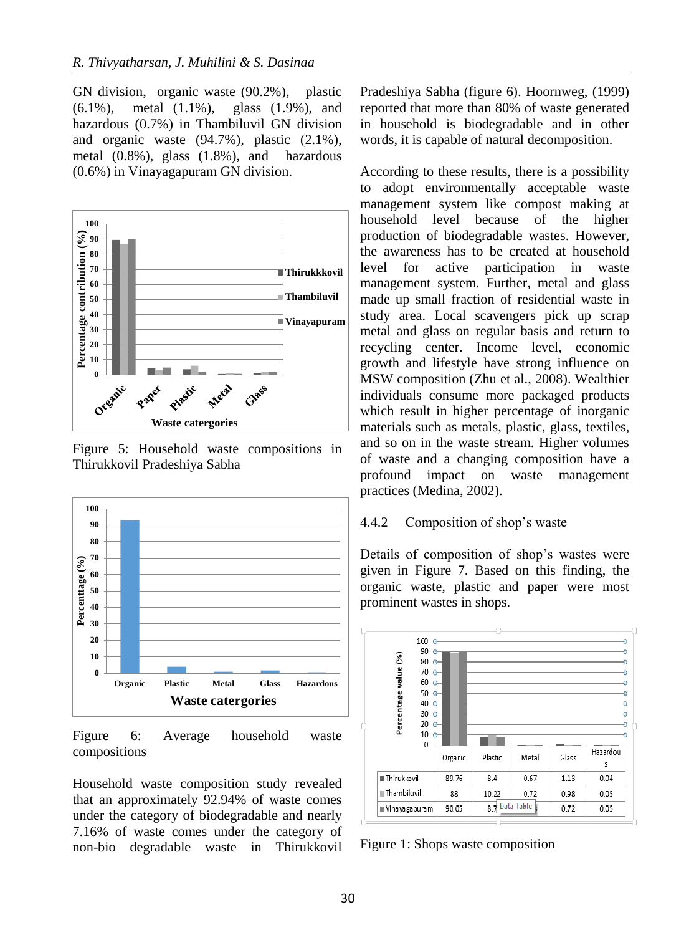GN division, organic waste (90.2%), plastic (6.1%), metal (1.1%), glass (1.9%), and hazardous (0.7%) in Thambiluvil GN division and organic waste (94.7%), plastic (2.1%), metal (0.8%), glass (1.8%), and hazardous (0.6%) in Vinayagapuram GN division.



Figure 5: Household waste compositions in Thirukkovil Pradeshiya Sabha



Figure 6: Average household waste compositions

Household waste composition study revealed that an approximately 92.94% of waste comes under the category of biodegradable and nearly 7.16% of waste comes under the category of non-bio degradable waste in Thirukkovil Pradeshiya Sabha (figure 6). Hoornweg, (1999) reported that more than 80% of waste generated in household is biodegradable and in other words, it is capable of natural decomposition.

According to these results, there is a possibility to adopt environmentally acceptable waste management system like compost making at household level because of the higher production of biodegradable wastes. However, the awareness has to be created at household level for active participation in waste management system. Further, metal and glass made up small fraction of residential waste in study area. Local scavengers pick up scrap metal and glass on regular basis and return to recycling center. Income level, economic growth and lifestyle have strong influence on MSW composition (Zhu et al., 2008). Wealthier individuals consume more packaged products which result in higher percentage of inorganic materials such as metals, plastic, glass, textiles, and so on in the waste stream. Higher volumes of waste and a changing composition have a profound impact on waste management practices (Medina, 2002).

#### 4.4.2 Composition of shop's waste

Details of composition of shop's wastes were given in Figure 7. Based on this finding, the organic waste, plastic and paper were most prominent wastes in shops.

![](_page_5_Figure_11.jpeg)

Figure 1: Shops waste composition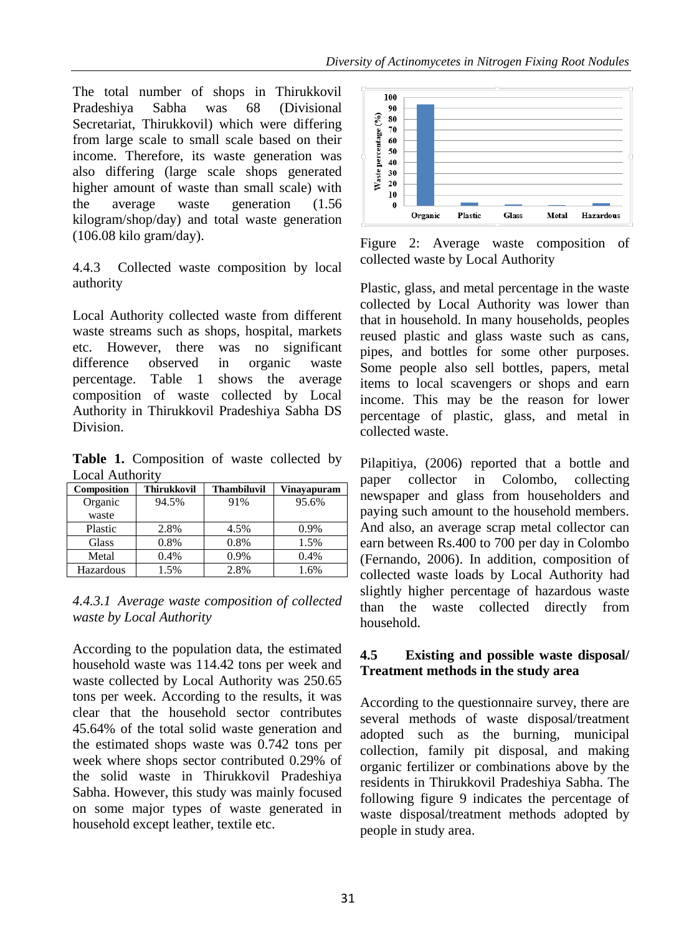The total number of shops in Thirukkovil Pradeshiya Sabha was 68 (Divisional Secretariat, Thirukkovil) which were differing from large scale to small scale based on their income. Therefore, its waste generation was also differing (large scale shops generated higher amount of waste than small scale) with the average waste generation (1.56 kilogram/shop/day) and total waste generation (106.08 kilo gram/day).

4.4.3 Collected waste composition by local authority

Local Authority collected waste from different waste streams such as shops, hospital, markets etc. However, there was no significant difference observed in organic waste percentage. Table 1 shows the average composition of waste collected by Local Authority in Thirukkovil Pradeshiya Sabha DS Division.

**Table 1.** Composition of waste collected by Local Authority

| Composition | <b>Thirukkovil</b> | <b>Thambiluvil</b> | Vinayapuram |
|-------------|--------------------|--------------------|-------------|
| Organic     | 94.5%              | 91%                | 95.6%       |
| waste       |                    |                    |             |
| Plastic     | 2.8%               | 4.5%               | 0.9%        |
| Glass       | 0.8%               | 0.8%               | 1.5%        |
| Metal       | 0.4%               | 0.9%               | 0.4%        |
| Hazardous   | 1.5%               | 2.8%               | 1.6%        |

*4.4.3.1 Average waste composition of collected waste by Local Authority*

According to the population data, the estimated household waste was 114.42 tons per week and waste collected by Local Authority was 250.65 tons per week. According to the results, it was clear that the household sector contributes 45.64% of the total solid waste generation and the estimated shops waste was 0.742 tons per week where shops sector contributed 0.29% of the solid waste in Thirukkovil Pradeshiya Sabha. However, this study was mainly focused on some major types of waste generated in household except leather, textile etc.

![](_page_6_Figure_8.jpeg)

Figure 2: Average waste composition of collected waste by Local Authority

Plastic, glass, and metal percentage in the waste collected by Local Authority was lower than that in household. In many households, peoples reused plastic and glass waste such as cans, pipes, and bottles for some other purposes. Some people also sell bottles, papers, metal items to local scavengers or shops and earn income. This may be the reason for lower percentage of plastic, glass, and metal in collected waste.

Pilapitiya, (2006) reported that a bottle and paper collector in Colombo, collecting newspaper and glass from householders and paying such amount to the household members. And also, an average scrap metal collector can earn between Rs.400 to 700 per day in Colombo (Fernando, 2006). In addition, composition of collected waste loads by Local Authority had slightly higher percentage of hazardous waste than the waste collected directly from household.

## **4.5 Existing and possible waste disposal/ Treatment methods in the study area**

According to the questionnaire survey, there are several methods of waste disposal/treatment adopted such as the burning, municipal collection, family pit disposal, and making organic fertilizer or combinations above by the residents in Thirukkovil Pradeshiya Sabha. The following figure 9 indicates the percentage of waste disposal/treatment methods adopted by people in study area.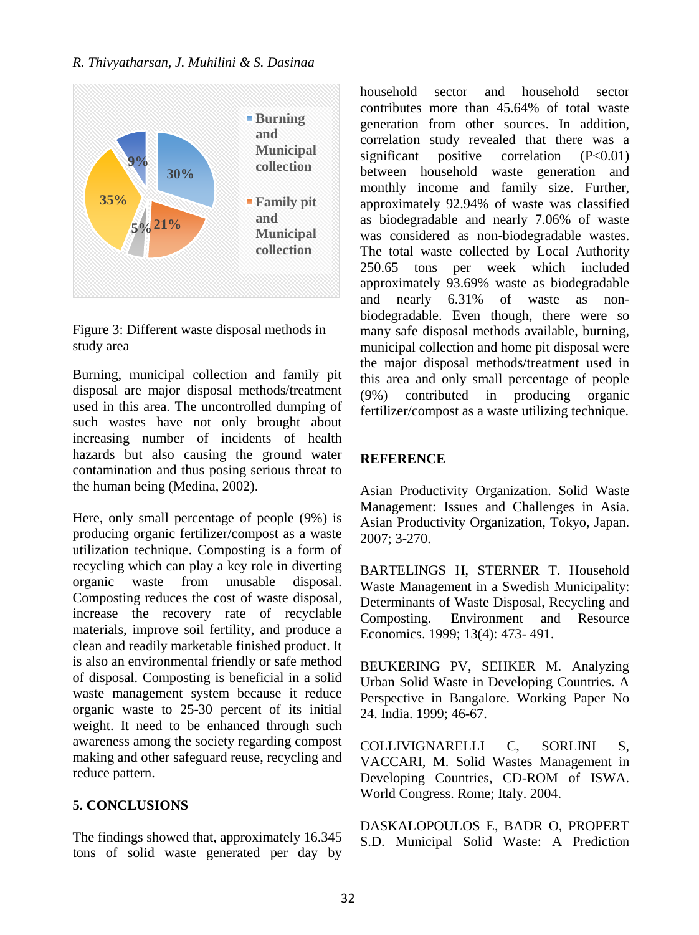![](_page_7_Figure_1.jpeg)

Figure 3: Different waste disposal methods in study area

Burning, municipal collection and family pit disposal are major disposal methods/treatment used in this area. The uncontrolled dumping of such wastes have not only brought about increasing number of incidents of health hazards but also causing the ground water contamination and thus posing serious threat to the human being (Medina, 2002).

Here, only small percentage of people (9%) is producing organic fertilizer/compost as a waste utilization technique. Composting is a form of recycling which can play a key role in diverting organic waste from unusable disposal. Composting reduces the cost of waste disposal, increase the recovery rate of recyclable materials, improve soil fertility, and produce a clean and readily marketable finished product. It is also an environmental friendly or safe method of disposal. Composting is beneficial in a solid waste management system because it reduce organic waste to 25-30 percent of its initial weight. It need to be enhanced through such awareness among the society regarding compost making and other safeguard reuse, recycling and reduce pattern.

## **5. CONCLUSIONS**

The findings showed that, approximately 16.345 tons of solid waste generated per day by household sector and household sector contributes more than 45.64% of total waste generation from other sources. In addition, correlation study revealed that there was a significant positive correlation  $(P<0.01)$ between household waste generation and monthly income and family size. Further, approximately 92.94% of waste was classified as biodegradable and nearly 7.06% of waste was considered as non-biodegradable wastes. The total waste collected by Local Authority 250.65 tons per week which included approximately 93.69% waste as biodegradable and nearly 6.31% of waste as nonbiodegradable. Even though, there were so many safe disposal methods available, burning, municipal collection and home pit disposal were the major disposal methods/treatment used in this area and only small percentage of people (9%) contributed in producing organic fertilizer/compost as a waste utilizing technique.

## **REFERENCE**

Asian Productivity Organization. Solid Waste Management: Issues and Challenges in Asia. Asian Productivity Organization, Tokyo, Japan. 2007; 3-270.

BARTELINGS H, STERNER T. Household Waste Management in a Swedish Municipality: Determinants of Waste Disposal, Recycling and Composting. Environment and Resource Economics. 1999; 13(4): 473- 491.

BEUKERING PV, SEHKER M. Analyzing Urban Solid Waste in Developing Countries. A Perspective in Bangalore. Working Paper No 24. India. 1999; 46-67.

COLLIVIGNARELLI C, SORLINI S, VACCARI, M. Solid Wastes Management in Developing Countries, CD-ROM of ISWA. World Congress. Rome; Italy. 2004.

DASKALOPOULOS E, BADR O, PROPERT S.D. Municipal Solid Waste: A Prediction